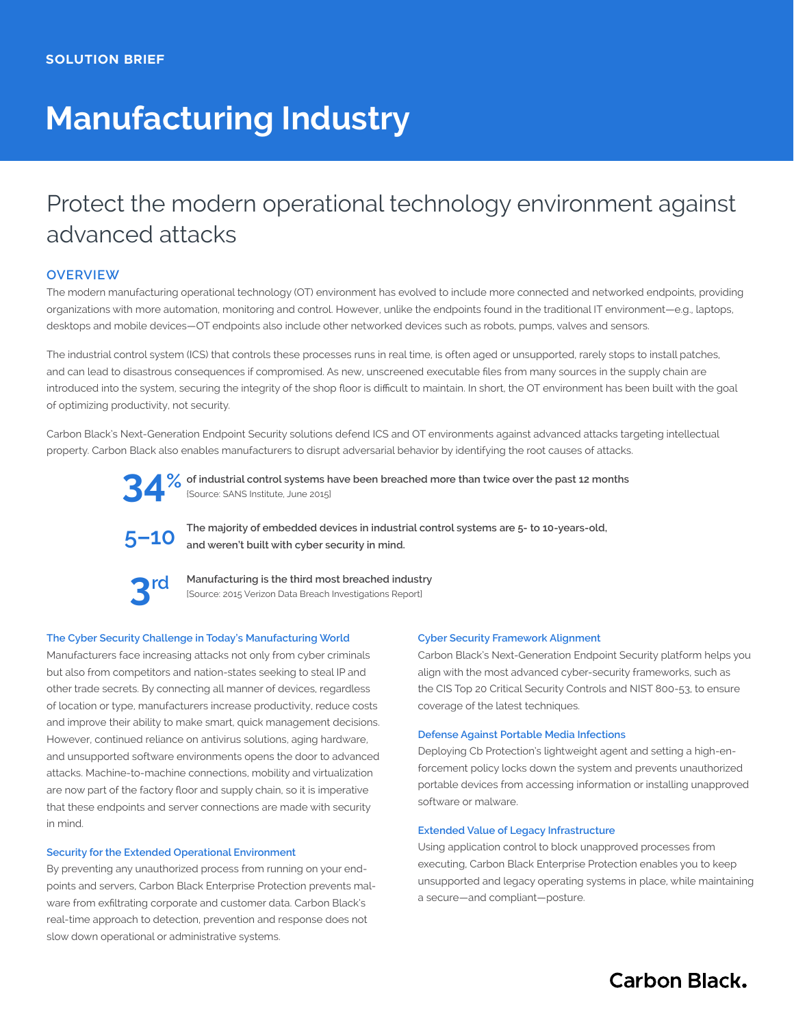# **Manufacturing Industry**

## Protect the modern operational technology environment against advanced attacks

## **OVERVIEW**

The modern manufacturing operational technology (OT) environment has evolved to include more connected and networked endpoints, providing organizations with more automation, monitoring and control. However, unlike the endpoints found in the traditional IT environment—e.g., laptops, desktops and mobile devices—OT endpoints also include other networked devices such as robots, pumps, valves and sensors.

The industrial control system (ICS) that controls these processes runs in real time, is often aged or unsupported, rarely stops to install patches, and can lead to disastrous consequences if compromised. As new, unscreened executable files from many sources in the supply chain are introduced into the system, securing the integrity of the shop floor is difficult to maintain. In short, the OT environment has been built with the goal of optimizing productivity, not security.

Carbon Black's Next-Generation Endpoint Security solutions defend ICS and OT environments against advanced attacks targeting intellectual property. Carbon Black also enables manufacturers to disrupt adversarial behavior by identifying the root causes of attacks.



**of industrial control systems have been breached more than twice over the past 12 months 34** % of industrial control systems h (Source: SANS Institute, June 2015)



**The majority of embedded devices in industrial control systems are 5- to 10-years-old, and weren't built with cyber security in mind.**



**Manufacturing is the third most breached industry**  [Source: 2015 Verizon Data Breach Investigations Report]

## **The Cyber Security Challenge in Today's Manufacturing World**

Manufacturers face increasing attacks not only from cyber criminals but also from competitors and nation-states seeking to steal IP and other trade secrets. By connecting all manner of devices, regardless of location or type, manufacturers increase productivity, reduce costs and improve their ability to make smart, quick management decisions. However, continued reliance on antivirus solutions, aging hardware, and unsupported software environments opens the door to advanced attacks. Machine-to-machine connections, mobility and virtualization are now part of the factory floor and supply chain, so it is imperative that these endpoints and server connections are made with security in mind.

#### **Security for the Extended Operational Environment**

By preventing any unauthorized process from running on your endpoints and servers, Carbon Black Enterprise Protection prevents malware from exfiltrating corporate and customer data. Carbon Black's real-time approach to detection, prevention and response does not slow down operational or administrative systems.

### **Cyber Security Framework Alignment**

Carbon Black's Next-Generation Endpoint Security platform helps you align with the most advanced cyber-security frameworks, such as the CIS Top 20 Critical Security Controls and NIST 800-53, to ensure coverage of the latest techniques.

#### **Defense Against Portable Media Infections**

Deploying Cb Protection's lightweight agent and setting a high-enforcement policy locks down the system and prevents unauthorized portable devices from accessing information or installing unapproved software or malware.

## **Extended Value of Legacy Infrastructure**

Using application control to block unapproved processes from executing, Carbon Black Enterprise Protection enables you to keep unsupported and legacy operating systems in place, while maintaining a secure—and compliant—posture.

**Carbon Black.**